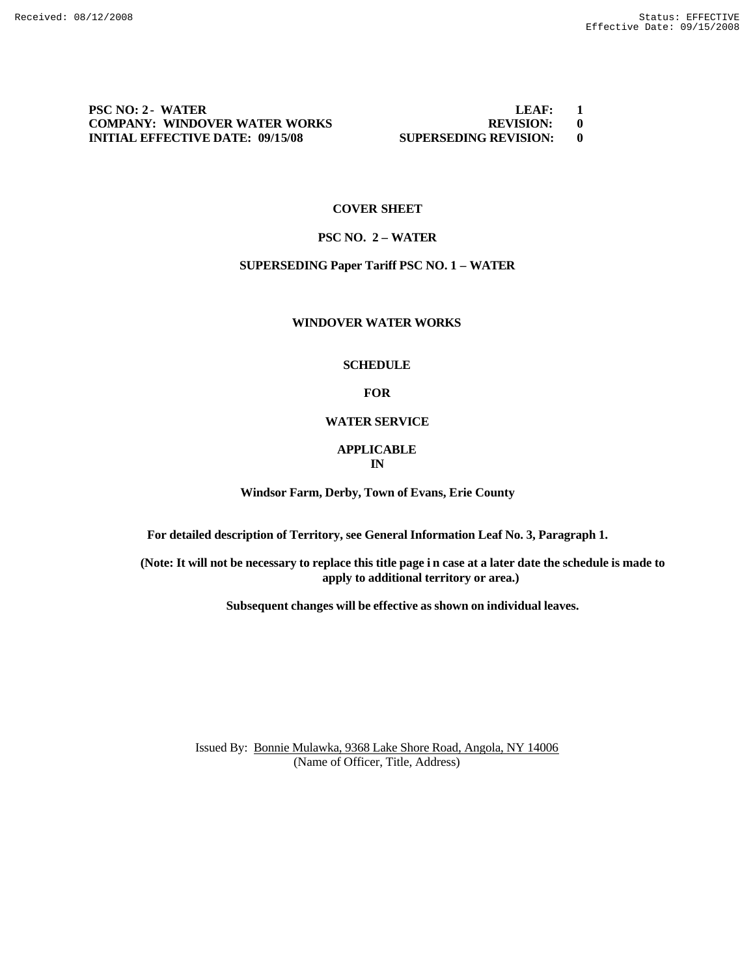**PSC NO: 2 - WATER LEAF:** 1 **COMPANY: WINDOVER WATER WORKS REVISION: 0<br>
INITIAL EFFECTIVE DATE: 09/15/08 SUPERSEDING REVISION: 0 INITIAL EFFECTIVE DATE: 09/15/08 SUPERSEDING REVISION: 0**

# **COVER SHEET**

# **PSC NO. 2 – WATER**

# **SUPERSEDING Paper Tariff PSC NO. 1 – WATER**

### **WINDOVER WATER WORKS**

# **SCHEDULE**

### **FOR**

# **WATER SERVICE**

### **APPLICABLE IN**

**Windsor Farm, Derby, Town of Evans, Erie County**

**For detailed description of Territory, see General Information Leaf No. 3, Paragraph 1.**

**(Note: It will not be necessary to replace this title page i n case at a later date the schedule is made to apply to additional territory or area.)**

**Subsequent changes will be effective as shown on individual leaves.**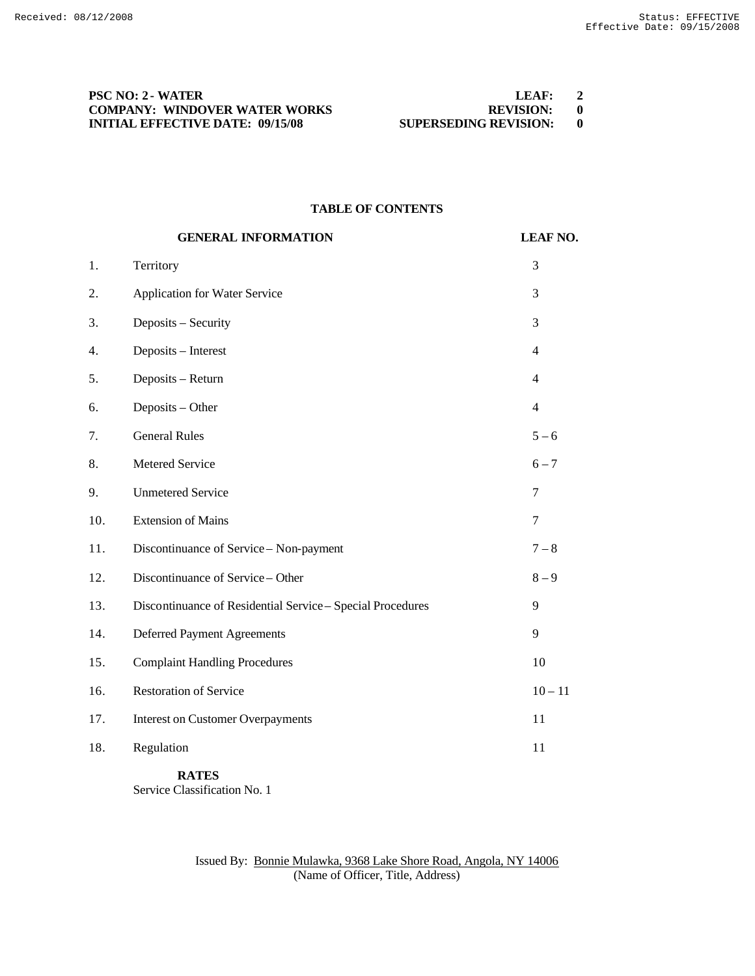# **PSC NO: 2 - WATER COMPANY: WINDOVER WATER WORKS<br>INITIAL EFFECTIVE DATE: 09/15/08**

| LEAF:                        |  |
|------------------------------|--|
| <b>REVISION:</b>             |  |
| <b>SUPERSEDING REVISION:</b> |  |

### **TABLE OF CONTENTS**

|     | <b>GENERAL INFORMATION</b>                                 | <b>LEAF NO.</b> |
|-----|------------------------------------------------------------|-----------------|
| 1.  | Territory                                                  | 3               |
| 2.  | Application for Water Service                              | 3               |
| 3.  | Deposits - Security                                        | 3               |
| 4.  | Deposits - Interest                                        | $\overline{4}$  |
| 5.  | Deposits - Return                                          | $\overline{4}$  |
| 6.  | Deposits - Other                                           | $\overline{4}$  |
| 7.  | <b>General Rules</b>                                       | $5 - 6$         |
| 8.  | Metered Service                                            | $6 - 7$         |
| 9.  | <b>Unmetered Service</b>                                   | $\tau$          |
| 10. | <b>Extension of Mains</b>                                  | $\tau$          |
| 11. | Discontinuance of Service - Non-payment                    | $7 - 8$         |
| 12. | Discontinuance of Service - Other                          | $8 - 9$         |
| 13. | Discontinuance of Residential Service - Special Procedures | 9               |
| 14. | <b>Deferred Payment Agreements</b>                         | 9               |
| 15. | <b>Complaint Handling Procedures</b>                       | 10              |
| 16. | <b>Restoration of Service</b>                              | $10 - 11$       |
| 17. | <b>Interest on Customer Overpayments</b>                   | 11              |
| 18. | Regulation                                                 | 11              |
|     |                                                            |                 |

**RATES** Service Classification No. 1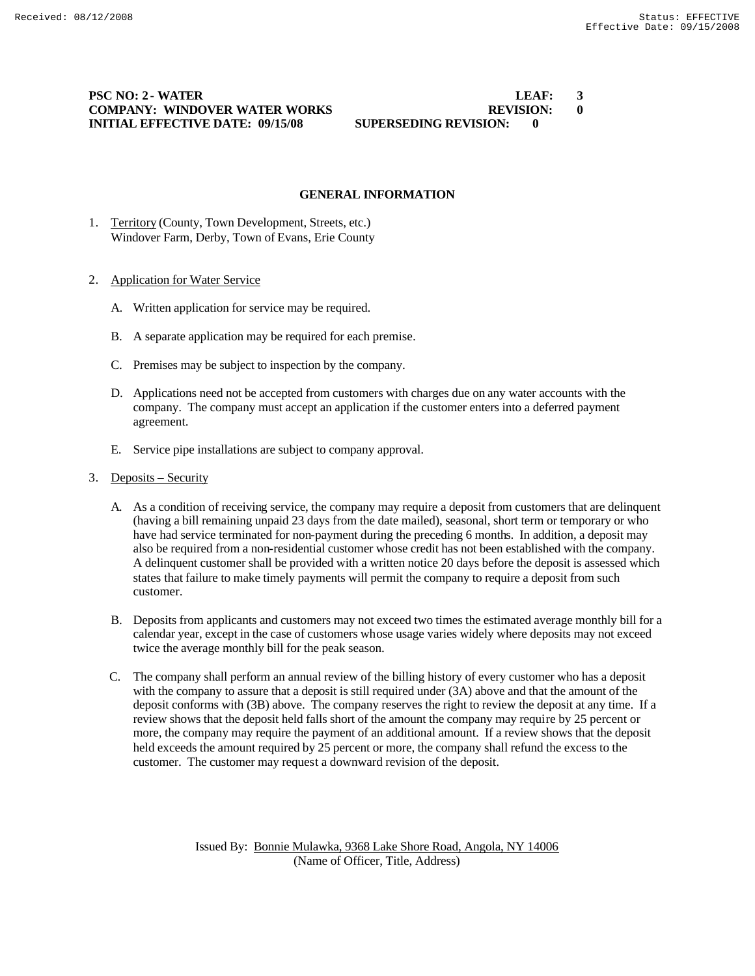**PSC NO: 2 - WATER LEAF: 3 COMPANY: WINDOVER WATER WORKS REVISION: 0 INITIAL EFFECTIVE DATE: 09/15/08 SUPERSEDING REVISION: 0**

# **GENERAL INFORMATION**

1. Territory (County, Town Development, Streets, etc.) Windover Farm, Derby, Town of Evans, Erie County

### 2. Application for Water Service

- A. Written application for service may be required.
- B. A separate application may be required for each premise.
- C. Premises may be subject to inspection by the company.
- D. Applications need not be accepted from customers with charges due on any water accounts with the company. The company must accept an application if the customer enters into a deferred payment agreement.
- E. Service pipe installations are subject to company approval.
- 3. Deposits Security
	- A. As a condition of receiving service, the company may require a deposit from customers that are delinquent (having a bill remaining unpaid 23 days from the date mailed), seasonal, short term or temporary or who have had service terminated for non-payment during the preceding 6 months. In addition, a deposit may also be required from a non-residential customer whose credit has not been established with the company. A delinquent customer shall be provided with a written notice 20 days before the deposit is assessed which states that failure to make timely payments will permit the company to require a deposit from such customer.
	- B. Deposits from applicants and customers may not exceed two times the estimated average monthly bill for a calendar year, except in the case of customers whose usage varies widely where deposits may not exceed twice the average monthly bill for the peak season.
	- C. The company shall perform an annual review of the billing history of every customer who has a deposit with the company to assure that a deposit is still required under (3A) above and that the amount of the deposit conforms with (3B) above. The company reserves the right to review the deposit at any time. If a review shows that the deposit held falls short of the amount the company may require by 25 percent or more, the company may require the payment of an additional amount. If a review shows that the deposit held exceeds the amount required by 25 percent or more, the company shall refund the excess to the customer. The customer may request a downward revision of the deposit.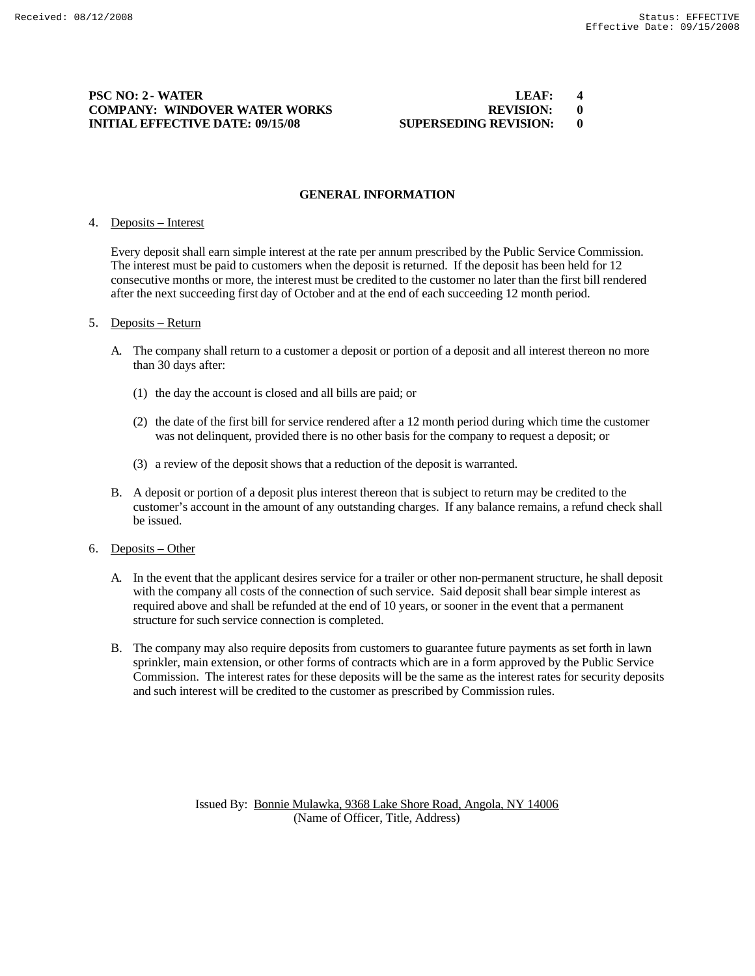### **PSC NO: 2 - WATER LEAF: 4 1.1 1.1 1.1 1.1 1.1 1.1 1.1 1.1 1.1 1.1 1.1 1.1 1.1 1.1 1.1 1.1 1.1 1.1 1.1 1.1 1.1 1.1 1.1 1.1 1.1 1.1 1.1 1.1 COMPANY: WINDOVER WATER WORKS REVISION: 0 INITIAL EFFECTIVE DATE: 09/15/08 SUPERSEDING REVISION: 0**

# **GENERAL INFORMATION**

### 4. Deposits – Interest

Every deposit shall earn simple interest at the rate per annum prescribed by the Public Service Commission. The interest must be paid to customers when the deposit is returned. If the deposit has been held for 12 consecutive months or more, the interest must be credited to the customer no later than the first bill rendered after the next succeeding first day of October and at the end of each succeeding 12 month period.

### 5. Deposits – Return

- A. The company shall return to a customer a deposit or portion of a deposit and all interest thereon no more than 30 days after:
	- (1) the day the account is closed and all bills are paid; or
	- (2) the date of the first bill for service rendered after a 12 month period during which time the customer was not delinquent, provided there is no other basis for the company to request a deposit; or
	- (3) a review of the deposit shows that a reduction of the deposit is warranted.
- B. A deposit or portion of a deposit plus interest thereon that is subject to return may be credited to the customer's account in the amount of any outstanding charges. If any balance remains, a refund check shall be issued.
- 6. Deposits Other
	- A. In the event that the applicant desires service for a trailer or other non-permanent structure, he shall deposit with the company all costs of the connection of such service. Said deposit shall bear simple interest as required above and shall be refunded at the end of 10 years, or sooner in the event that a permanent structure for such service connection is completed.
	- B. The company may also require deposits from customers to guarantee future payments as set forth in lawn sprinkler, main extension, or other forms of contracts which are in a form approved by the Public Service Commission. The interest rates for these deposits will be the same as the interest rates for security deposits and such interest will be credited to the customer as prescribed by Commission rules.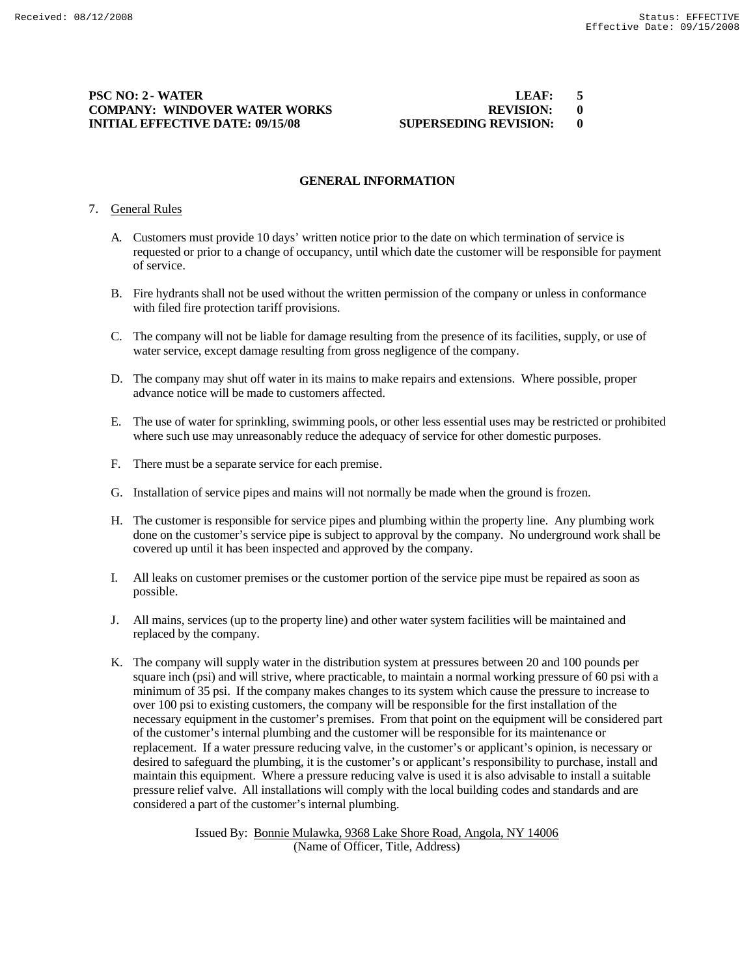## **PSC NO: 2 - WATER LEAF: 5<br>
COMPANY: WINDOVER WATER WORKS REVISION: 0 COMPANY: WINDOVER WATER WORKS REVISION: 0 INITIAL EFFECTIVE DATE: 09/15/08 SUPERSEDING REVISION: 0**

# **GENERAL INFORMATION**

### 7. General Rules

- A. Customers must provide 10 days' written notice prior to the date on which termination of service is requested or prior to a change of occupancy, until which date the customer will be responsible for payment of service.
- B. Fire hydrants shall not be used without the written permission of the company or unless in conformance with filed fire protection tariff provisions.
- C. The company will not be liable for damage resulting from the presence of its facilities, supply, or use of water service, except damage resulting from gross negligence of the company.
- D. The company may shut off water in its mains to make repairs and extensions. Where possible, proper advance notice will be made to customers affected.
- E. The use of water for sprinkling, swimming pools, or other less essential uses may be restricted or prohibited where such use may unreasonably reduce the adequacy of service for other domestic purposes.
- F. There must be a separate service for each premise.
- G. Installation of service pipes and mains will not normally be made when the ground is frozen.
- H. The customer is responsible for service pipes and plumbing within the property line. Any plumbing work done on the customer's service pipe is subject to approval by the company. No underground work shall be covered up until it has been inspected and approved by the company.
- I. All leaks on customer premises or the customer portion of the service pipe must be repaired as soon as possible.
- J. All mains, services (up to the property line) and other water system facilities will be maintained and replaced by the company.
- K. The company will supply water in the distribution system at pressures between 20 and 100 pounds per square inch (psi) and will strive, where practicable, to maintain a normal working pressure of 60 psi with a minimum of 35 psi. If the company makes changes to its system which cause the pressure to increase to over 100 psi to existing customers, the company will be responsible for the first installation of the necessary equipment in the customer's premises. From that point on the equipment will be considered part of the customer's internal plumbing and the customer will be responsible for its maintenance or replacement. If a water pressure reducing valve, in the customer's or applicant's opinion, is necessary or desired to safeguard the plumbing, it is the customer's or applicant's responsibility to purchase, install and maintain this equipment. Where a pressure reducing valve is used it is also advisable to install a suitable pressure relief valve. All installations will comply with the local building codes and standards and are considered a part of the customer's internal plumbing.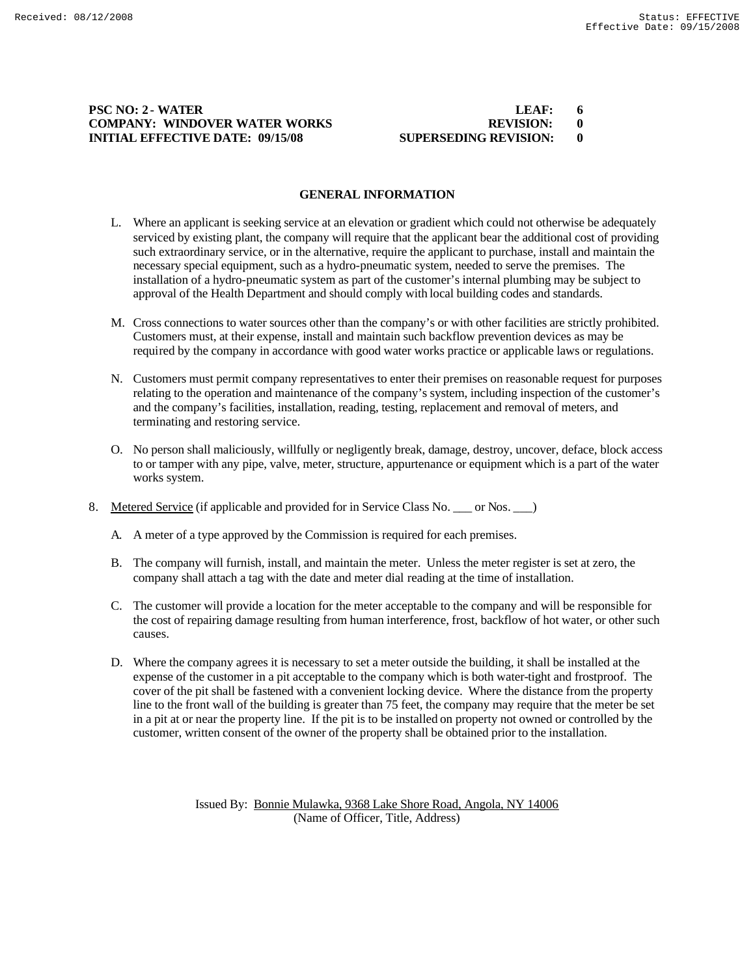# **PSC NO: 2 - WATER LEAF: 6 COMPANY: WINDOVER WATER WORKS REVISION: 0 INITIAL EFFECTIVE DATE: 09/15/08 SUPERSEDING REVISION: 0**

### **GENERAL INFORMATION**

- L. Where an applicant is seeking service at an elevation or gradient which could not otherwise be adequately serviced by existing plant, the company will require that the applicant bear the additional cost of providing such extraordinary service, or in the alternative, require the applicant to purchase, install and maintain the necessary special equipment, such as a hydro-pneumatic system, needed to serve the premises. The installation of a hydro-pneumatic system as part of the customer's internal plumbing may be subject to approval of the Health Department and should comply with local building codes and standards.
- M. Cross connections to water sources other than the company's or with other facilities are strictly prohibited. Customers must, at their expense, install and maintain such backflow prevention devices as may be required by the company in accordance with good water works practice or applicable laws or regulations.
- N. Customers must permit company representatives to enter their premises on reasonable request for purposes relating to the operation and maintenance of the company's system, including inspection of the customer's and the company's facilities, installation, reading, testing, replacement and removal of meters, and terminating and restoring service.
- O. No person shall maliciously, willfully or negligently break, damage, destroy, uncover, deface, block access to or tamper with any pipe, valve, meter, structure, appurtenance or equipment which is a part of the water works system.
- 8. Metered Service (if applicable and provided for in Service Class No. \_\_\_ or Nos. \_\_\_)
	- A. A meter of a type approved by the Commission is required for each premises.
	- B. The company will furnish, install, and maintain the meter. Unless the meter register is set at zero, the company shall attach a tag with the date and meter dial reading at the time of installation.
	- C. The customer will provide a location for the meter acceptable to the company and will be responsible for the cost of repairing damage resulting from human interference, frost, backflow of hot water, or other such causes.
	- D. Where the company agrees it is necessary to set a meter outside the building, it shall be installed at the expense of the customer in a pit acceptable to the company which is both water-tight and frostproof. The cover of the pit shall be fastened with a convenient locking device. Where the distance from the property line to the front wall of the building is greater than 75 feet, the company may require that the meter be set in a pit at or near the property line. If the pit is to be installed on property not owned or controlled by the customer, written consent of the owner of the property shall be obtained prior to the installation.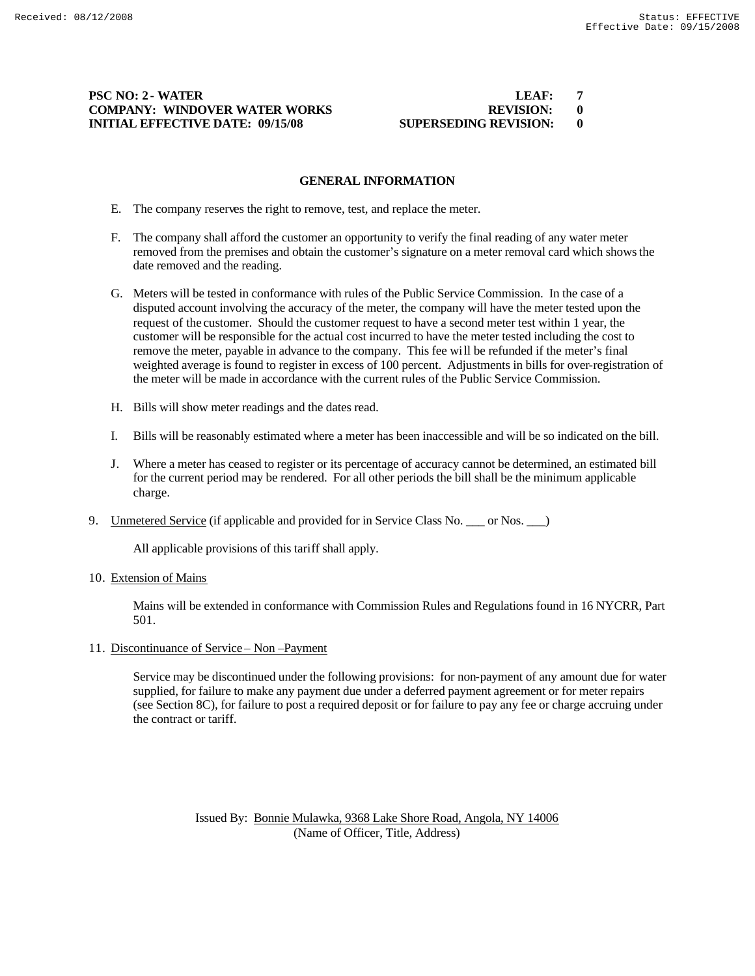# **PSC NO: 2 - WATER LEAF: 7 COMPANY: WINDOVER WATER WORKS REVISION: 0 INITIAL EFFECTIVE DATE: 09/15/08 SUPERSEDING REVISION: 0**

### **GENERAL INFORMATION**

- E. The company reserves the right to remove, test, and replace the meter.
- F. The company shall afford the customer an opportunity to verify the final reading of any water meter removed from the premises and obtain the customer's signature on a meter removal card which shows the date removed and the reading.
- G. Meters will be tested in conformance with rules of the Public Service Commission. In the case of a disputed account involving the accuracy of the meter, the company will have the meter tested upon the request of the customer. Should the customer request to have a second meter test within 1 year, the customer will be responsible for the actual cost incurred to have the meter tested including the cost to remove the meter, payable in advance to the company. This fee will be refunded if the meter's final weighted average is found to register in excess of 100 percent. Adjustments in bills for over-registration of the meter will be made in accordance with the current rules of the Public Service Commission.
- H. Bills will show meter readings and the dates read.
- I. Bills will be reasonably estimated where a meter has been inaccessible and will be so indicated on the bill.
- J. Where a meter has ceased to register or its percentage of accuracy cannot be determined, an estimated bill for the current period may be rendered. For all other periods the bill shall be the minimum applicable charge.
- 9. Unmetered Service (if applicable and provided for in Service Class No. \_\_\_ or Nos. \_\_)

All applicable provisions of this tariff shall apply.

10. Extension of Mains

Mains will be extended in conformance with Commission Rules and Regulations found in 16 NYCRR, Part 501.

11. Discontinuance of Service – Non –Payment

Service may be discontinued under the following provisions: for non-payment of any amount due for water supplied, for failure to make any payment due under a deferred payment agreement or for meter repairs (see Section 8C), for failure to post a required deposit or for failure to pay any fee or charge accruing under the contract or tariff.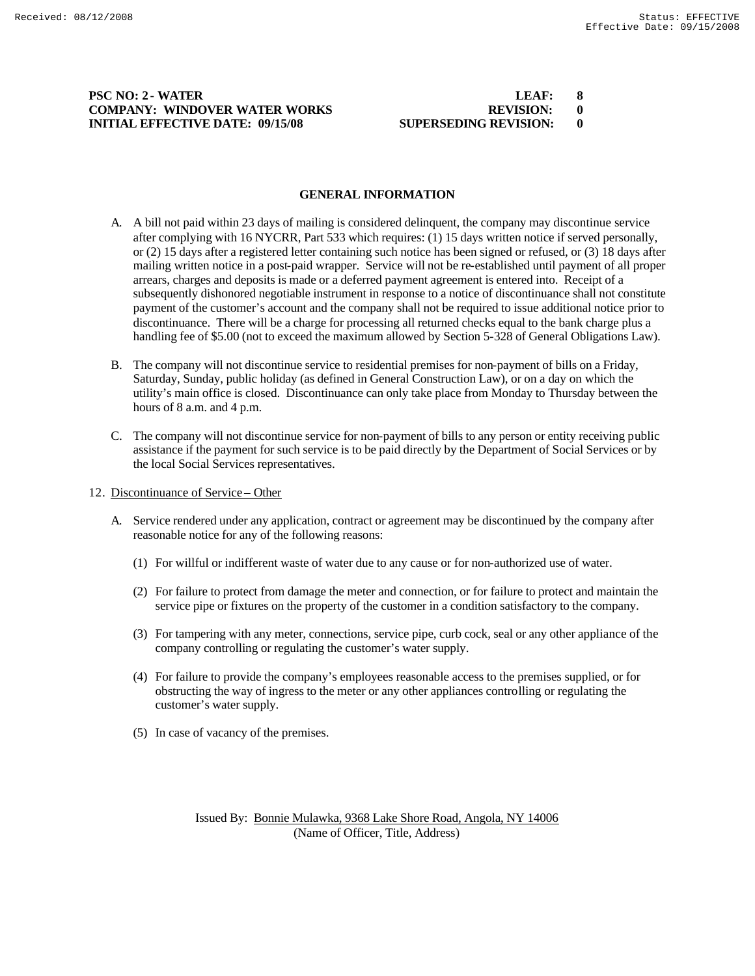## **PSC NO: 2 - WATER LEAF: 8 COMPANY: WINDOVER WATER WORKS REVISION: 0 INITIAL EFFECTIVE DATE: 09/15/08 SUPERSEDING REVISION: 0**

# **GENERAL INFORMATION**

- A. A bill not paid within 23 days of mailing is considered delinquent, the company may discontinue service after complying with 16 NYCRR, Part 533 which requires: (1) 15 days written notice if served personally, or (2) 15 days after a registered letter containing such notice has been signed or refused, or (3) 18 days after mailing written notice in a post-paid wrapper. Service will not be re-established until payment of all proper arrears, charges and deposits is made or a deferred payment agreement is entered into. Receipt of a subsequently dishonored negotiable instrument in response to a notice of discontinuance shall not constitute payment of the customer's account and the company shall not be required to issue additional notice prior to discontinuance. There will be a charge for processing all returned checks equal to the bank charge plus a handling fee of \$5.00 (not to exceed the maximum allowed by Section 5-328 of General Obligations Law).
- B. The company will not discontinue service to residential premises for non-payment of bills on a Friday, Saturday, Sunday, public holiday (as defined in General Construction Law), or on a day on which the utility's main office is closed. Discontinuance can only take place from Monday to Thursday between the hours of 8 a.m. and 4 p.m.
- C. The company will not discontinue service for non-payment of bills to any person or entity receiving public assistance if the payment for such service is to be paid directly by the Department of Social Services or by the local Social Services representatives.
- 12. Discontinuance of Service Other
	- A. Service rendered under any application, contract or agreement may be discontinued by the company after reasonable notice for any of the following reasons:
		- (1) For willful or indifferent waste of water due to any cause or for non-authorized use of water.
		- (2) For failure to protect from damage the meter and connection, or for failure to protect and maintain the service pipe or fixtures on the property of the customer in a condition satisfactory to the company.
		- (3) For tampering with any meter, connections, service pipe, curb cock, seal or any other appliance of the company controlling or regulating the customer's water supply.
		- (4) For failure to provide the company's employees reasonable access to the premises supplied, or for obstructing the way of ingress to the meter or any other appliances controlling or regulating the customer's water supply.
		- (5) In case of vacancy of the premises.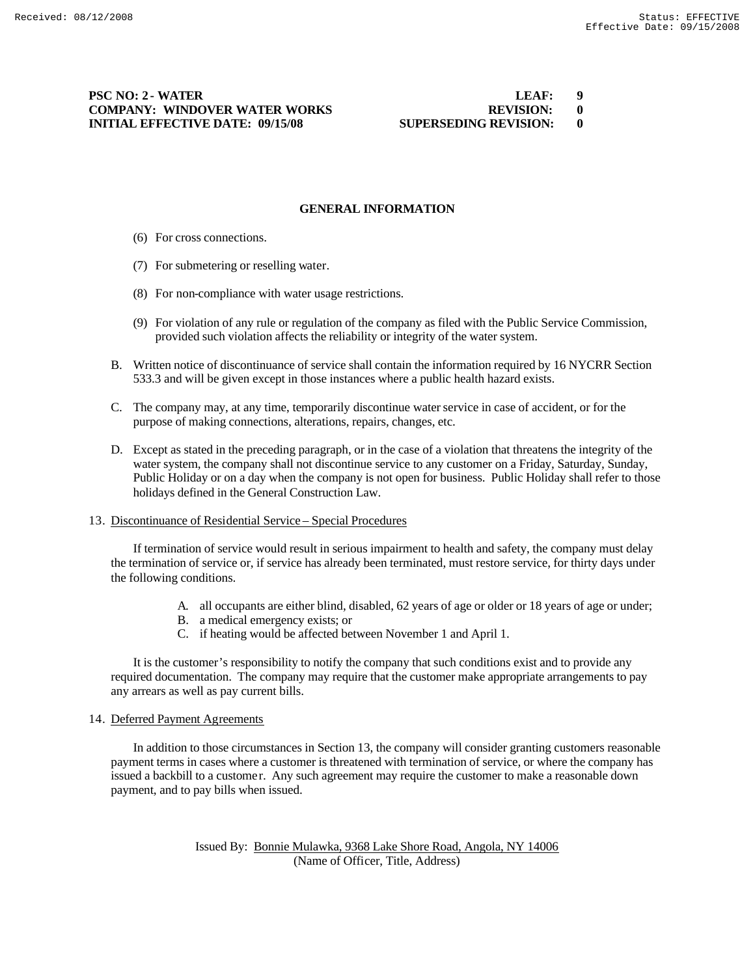## **PSC NO: 2 - WATER COMPANY: WINDOVER WATER WORKS INITIAL EFFECTIVE DATE: 09/15/08 SU**

| LEAF:                | g |
|----------------------|---|
| <b>REVISION:</b>     |   |
| UPERSEDING REVISION: |   |

### **GENERAL INFORMATION**

- (6) For cross connections.
- (7) For submetering or reselling water.
- (8) For non-compliance with water usage restrictions.
- (9) For violation of any rule or regulation of the company as filed with the Public Service Commission, provided such violation affects the reliability or integrity of the water system.
- B. Written notice of discontinuance of service shall contain the information required by 16 NYCRR Section 533.3 and will be given except in those instances where a public health hazard exists.
- C. The company may, at any time, temporarily discontinue water service in case of accident, or for the purpose of making connections, alterations, repairs, changes, etc.
- D. Except as stated in the preceding paragraph, or in the case of a violation that threatens the integrity of the water system, the company shall not discontinue service to any customer on a Friday, Saturday, Sunday, Public Holiday or on a day when the company is not open for business. Public Holiday shall refer to those holidays defined in the General Construction Law.

### 13. Discontinuance of Residential Service – Special Procedures

If termination of service would result in serious impairment to health and safety, the company must delay the termination of service or, if service has already been terminated, must restore service, for thirty days under the following conditions.

- A. all occupants are either blind, disabled, 62 years of age or older or 18 years of age or under;
- B. a medical emergency exists; or
- C. if heating would be affected between November 1 and April 1.

It is the customer's responsibility to notify the company that such conditions exist and to provide any required documentation. The company may require that the customer make appropriate arrangements to pay any arrears as well as pay current bills.

### 14. Deferred Payment Agreements

In addition to those circumstances in Section 13, the company will consider granting customers reasonable payment terms in cases where a customer is threatened with termination of service, or where the company has issued a backbill to a customer. Any such agreement may require the customer to make a reasonable down payment, and to pay bills when issued.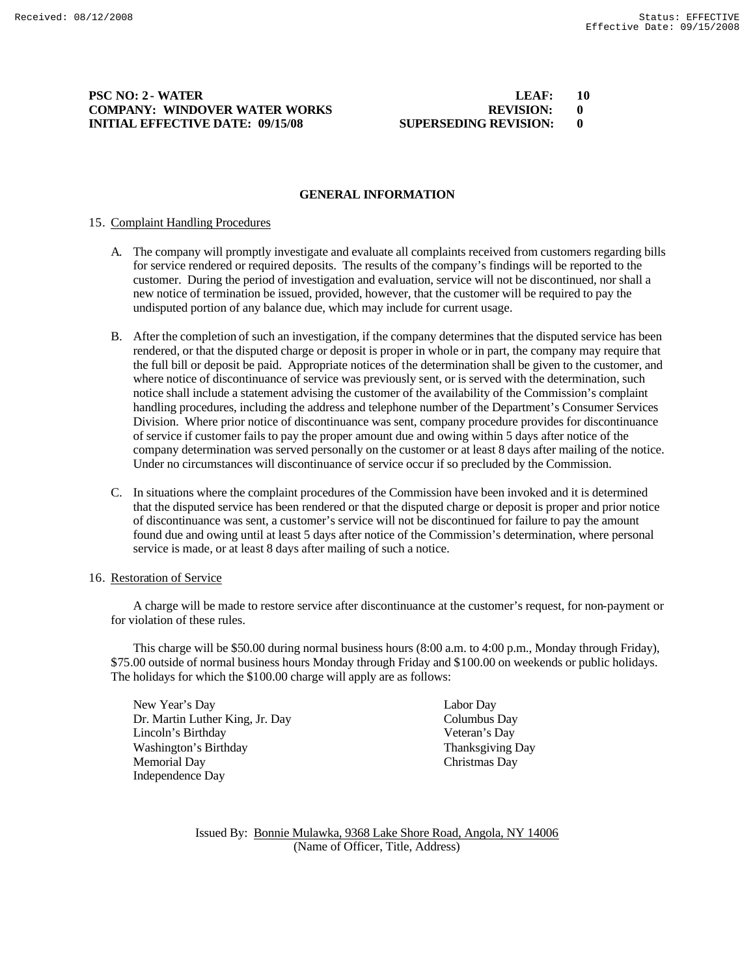### **PSC NO: 2 - WATER COMPANY: WINDOVER WATER WORKS INITIAL EFFECTIVE DATE: 09/15/08 SU**

| LEAF:                       | 10 |
|-----------------------------|----|
| <b>REVISION:</b>            | 0  |
| <b>JPERSEDING REVISION:</b> |    |

### **GENERAL INFORMATION**

### 15. Complaint Handling Procedures

- A. The company will promptly investigate and evaluate all complaints received from customers regarding bills for service rendered or required deposits. The results of the company's findings will be reported to the customer. During the period of investigation and evaluation, service will not be discontinued, nor shall a new notice of termination be issued, provided, however, that the customer will be required to pay the undisputed portion of any balance due, which may include for current usage.
- B. After the completion of such an investigation, if the company determines that the disputed service has been rendered, or that the disputed charge or deposit is proper in whole or in part, the company may require that the full bill or deposit be paid. Appropriate notices of the determination shall be given to the customer, and where notice of discontinuance of service was previously sent, or is served with the determination, such notice shall include a statement advising the customer of the availability of the Commission's complaint handling procedures, including the address and telephone number of the Department's Consumer Services Division. Where prior notice of discontinuance was sent, company procedure provides for discontinuance of service if customer fails to pay the proper amount due and owing within 5 days after notice of the company determination was served personally on the customer or at least 8 days after mailing of the notice. Under no circumstances will discontinuance of service occur if so precluded by the Commission.
- C. In situations where the complaint procedures of the Commission have been invoked and it is determined that the disputed service has been rendered or that the disputed charge or deposit is proper and prior notice of discontinuance was sent, a customer's service will not be discontinued for failure to pay the amount found due and owing until at least 5 days after notice of the Commission's determination, where personal service is made, or at least 8 days after mailing of such a notice.

### 16. Restoration of Service

A charge will be made to restore service after discontinuance at the customer's request, for non-payment or for violation of these rules.

This charge will be \$50.00 during normal business hours (8:00 a.m. to 4:00 p.m., Monday through Friday), \$75.00 outside of normal business hours Monday through Friday and \$100.00 on weekends or public holidays. The holidays for which the \$100.00 charge will apply are as follows:

New Year's Day Labor Day Dr. Martin Luther King, Jr. Day Columbus Day Lincoln's Birthday Veteran's Day Washington's Birthday Thanksgiving Day Memorial Day Christmas Day Independence Day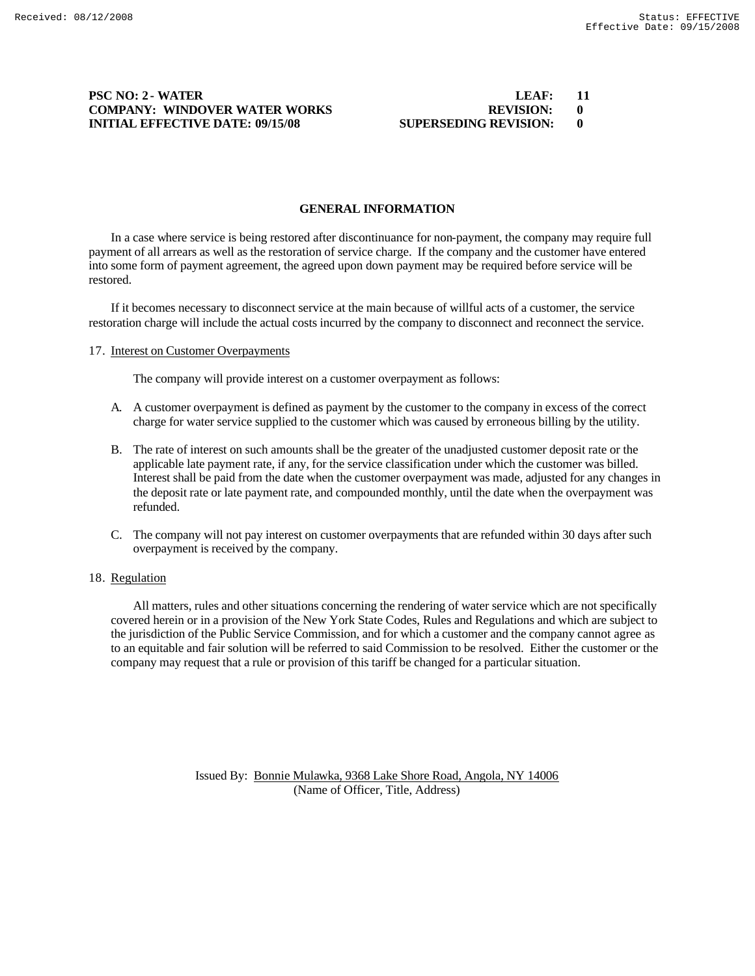# **PSC NO: 2 - WATER WATER WORKS LEAF:** 11 **COMPANY: WINDOVER WATER WORKS** REVISION: 0 **COMPANY: WINDOVER WATER WORKS REVISION: 0<br>
INITIAL EFFECTIVE DATE: 09/15/08 SUPERSEDING REVISION: 0 INITIAL EFFECTIVE DATE: 09/15/08 SUPERSEDING REVISION: 0**

### **GENERAL INFORMATION**

In a case where service is being restored after discontinuance for non-payment, the company may require full payment of all arrears as well as the restoration of service charge. If the company and the customer have entered into some form of payment agreement, the agreed upon down payment may be required before service will be restored.

If it becomes necessary to disconnect service at the main because of willful acts of a customer, the service restoration charge will include the actual costs incurred by the company to disconnect and reconnect the service.

### 17. Interest on Customer Overpayments

The company will provide interest on a customer overpayment as follows:

- A. A customer overpayment is defined as payment by the customer to the company in excess of the correct charge for water service supplied to the customer which was caused by erroneous billing by the utility.
- B. The rate of interest on such amounts shall be the greater of the unadjusted customer deposit rate or the applicable late payment rate, if any, for the service classification under which the customer was billed. Interest shall be paid from the date when the customer overpayment was made, adjusted for any changes in the deposit rate or late payment rate, and compounded monthly, until the date when the overpayment was refunded.
- C. The company will not pay interest on customer overpayments that are refunded within 30 days after such overpayment is received by the company.

### 18. Regulation

All matters, rules and other situations concerning the rendering of water service which are not specifically covered herein or in a provision of the New York State Codes, Rules and Regulations and which are subject to the jurisdiction of the Public Service Commission, and for which a customer and the company cannot agree as to an equitable and fair solution will be referred to said Commission to be resolved. Either the customer or the company may request that a rule or provision of this tariff be changed for a particular situation.